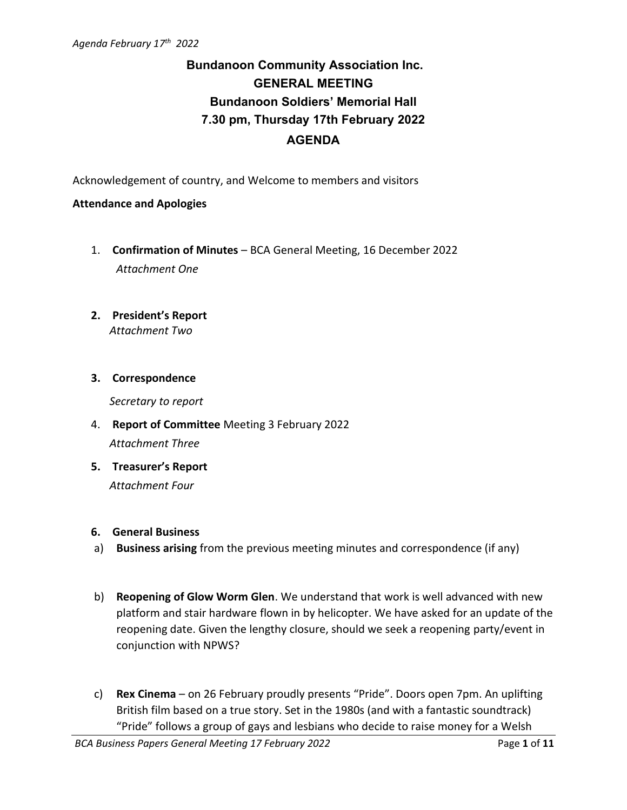# **Bundanoon Community Association Inc. GENERAL MEETING Bundanoon Soldiers' Memorial Hall 7.30 pm, Thursday 17th February 2022 AGENDA**

Acknowledgement of country, and Welcome to members and visitors

#### **Attendance and Apologies**

- 1. **Confirmation of Minutes** BCA General Meeting, 16 December 2022 *Attachment One*
- **2. President's Report** *Attachment Two*

#### **3. Correspondence**

*Secretary to report*

- 4. **Report of Committee** Meeting 3 February 2022 *Attachment Three*
- **5. Treasurer's Report** *Attachment Four*
- **6. General Business**
- a) **Business arising** from the previous meeting minutes and correspondence (if any)
- b) **Reopening of Glow Worm Glen**. We understand that work is well advanced with new platform and stair hardware flown in by helicopter. We have asked for an update of the reopening date. Given the lengthy closure, should we seek a reopening party/event in conjunction with NPWS?
- c) **Rex Cinema** on 26 February proudly presents "Pride". Doors open 7pm. An uplifting British film based on a true story. Set in the 1980s (and with a fantastic soundtrack) "Pride" follows a group of gays and lesbians who decide to raise money for a Welsh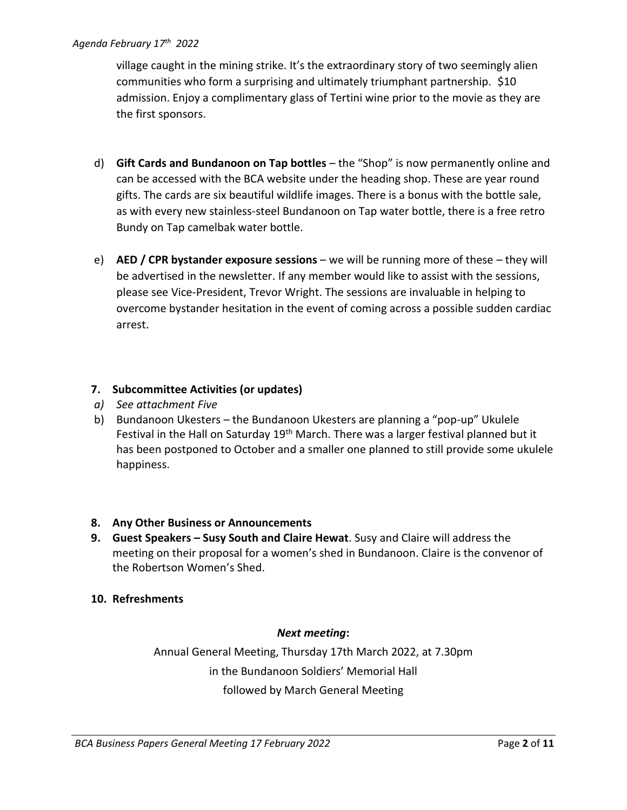village caught in the mining strike. It's the extraordinary story of two seemingly alien communities who form a surprising and ultimately triumphant partnership. \$10 admission. Enjoy a complimentary glass of Tertini wine prior to the movie as they are the first sponsors.

- d) **Gift Cards and Bundanoon on Tap bottles** the "Shop" is now permanently online and can be accessed with the BCA website under the heading shop. These are year round gifts. The cards are six beautiful wildlife images. There is a bonus with the bottle sale, as with every new stainless-steel Bundanoon on Tap water bottle, there is a free retro Bundy on Tap camelbak water bottle.
- e) **AED / CPR bystander exposure sessions** we will be running more of these they will be advertised in the newsletter. If any member would like to assist with the sessions, please see Vice-President, Trevor Wright. The sessions are invaluable in helping to overcome bystander hesitation in the event of coming across a possible sudden cardiac arrest.

#### **7. Subcommittee Activities (or updates)**

- *a) See attachment Five*
- b) Bundanoon Ukesters the Bundanoon Ukesters are planning a "pop-up" Ukulele Festival in the Hall on Saturday 19<sup>th</sup> March. There was a larger festival planned but it has been postponed to October and a smaller one planned to still provide some ukulele happiness.

## **8. Any Other Business or Announcements**

- **9. Guest Speakers – Susy South and Claire Hewat**. Susy and Claire will address the meeting on their proposal for a women's shed in Bundanoon. Claire is the convenor of the Robertson Women's Shed.
- **10. Refreshments**

#### *Next meeting***:**

Annual General Meeting, Thursday 17th March 2022, at 7.30pm in the Bundanoon Soldiers' Memorial Hall followed by March General Meeting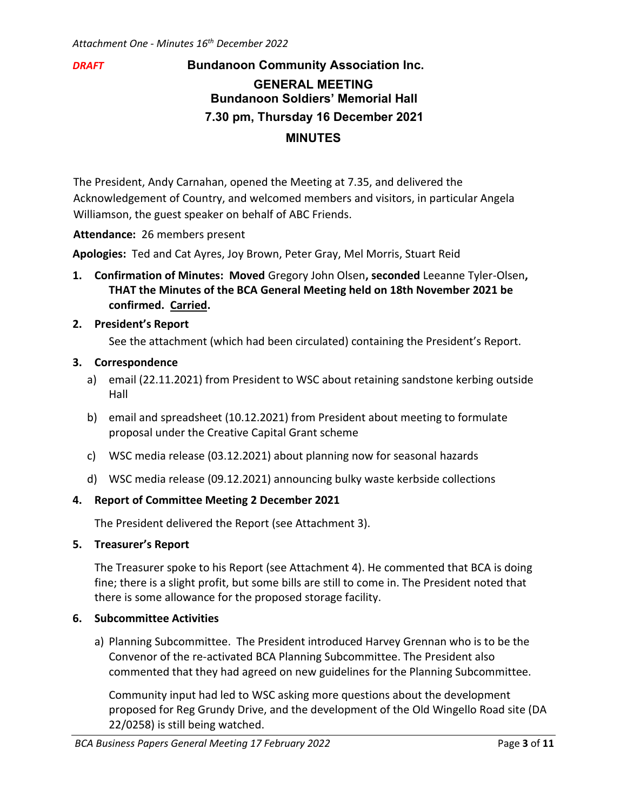# *DRAFT* **Bundanoon Community Association Inc.**

# **GENERAL MEETING Bundanoon Soldiers' Memorial Hall 7.30 pm, Thursday 16 December 2021 MINUTES**

The President, Andy Carnahan, opened the Meeting at 7.35, and delivered the Acknowledgement of Country, and welcomed members and visitors, in particular Angela Williamson, the guest speaker on behalf of ABC Friends.

**Attendance:** 26 members present

**Apologies:** Ted and Cat Ayres, Joy Brown, Peter Gray, Mel Morris, Stuart Reid

**1. Confirmation of Minutes: Moved** Gregory John Olsen**, seconded** Leeanne Tyler-Olsen**, THAT the Minutes of the BCA General Meeting held on 18th November 2021 be confirmed. Carried.** 

#### **2. President's Report**

See the attachment (which had been circulated) containing the President's Report.

#### **3. Correspondence**

- a) email (22.11.2021) from President to WSC about retaining sandstone kerbing outside Hall
- b) email and spreadsheet (10.12.2021) from President about meeting to formulate proposal under the Creative Capital Grant scheme
- c) WSC media release (03.12.2021) about planning now for seasonal hazards
- d) WSC media release (09.12.2021) announcing bulky waste kerbside collections

## **4. Report of Committee Meeting 2 December 2021**

The President delivered the Report (see Attachment 3).

#### **5. Treasurer's Report**

The Treasurer spoke to his Report (see Attachment 4). He commented that BCA is doing fine; there is a slight profit, but some bills are still to come in. The President noted that there is some allowance for the proposed storage facility.

#### **6. Subcommittee Activities**

a) Planning Subcommittee. The President introduced Harvey Grennan who is to be the Convenor of the re-activated BCA Planning Subcommittee. The President also commented that they had agreed on new guidelines for the Planning Subcommittee.

Community input had led to WSC asking more questions about the development proposed for Reg Grundy Drive, and the development of the Old Wingello Road site (DA 22/0258) is still being watched.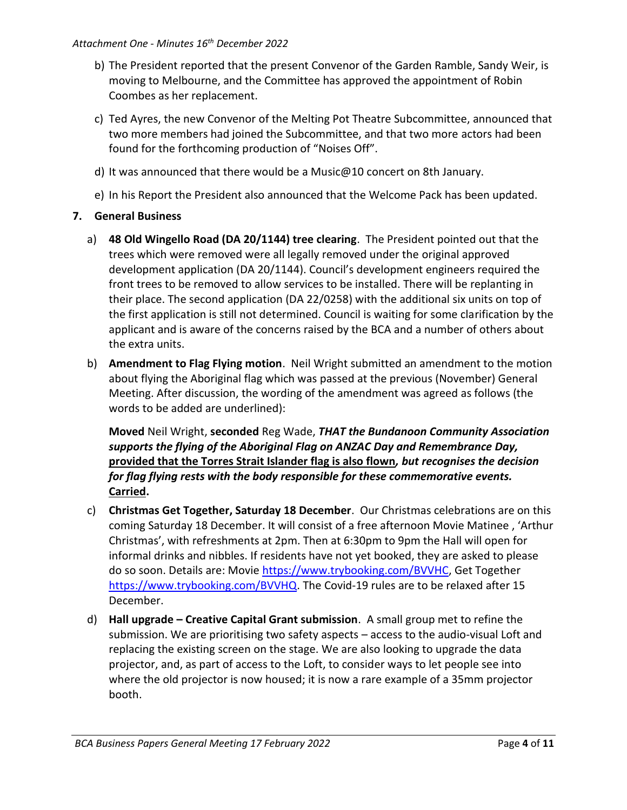- b) The President reported that the present Convenor of the Garden Ramble, Sandy Weir, is moving to Melbourne, and the Committee has approved the appointment of Robin Coombes as her replacement.
- c) Ted Ayres, the new Convenor of the Melting Pot Theatre Subcommittee, announced that two more members had joined the Subcommittee, and that two more actors had been found for the forthcoming production of "Noises Off".
- d) It was announced that there would be a Music@10 concert on 8th January.
- e) In his Report the President also announced that the Welcome Pack has been updated.

## **7. General Business**

- a) **48 Old Wingello Road (DA 20/1144) tree clearing**. The President pointed out that the trees which were removed were all legally removed under the original approved development application (DA 20/1144). Council's development engineers required the front trees to be removed to allow services to be installed. There will be replanting in their place. The second application (DA 22/0258) with the additional six units on top of the first application is still not determined. Council is waiting for some clarification by the applicant and is aware of the concerns raised by the BCA and a number of others about the extra units.
- b) **Amendment to Flag Flying motion**. Neil Wright submitted an amendment to the motion about flying the Aboriginal flag which was passed at the previous (November) General Meeting. After discussion, the wording of the amendment was agreed as follows (the words to be added are underlined):

**Moved** Neil Wright, **seconded** Reg Wade, *THAT the Bundanoon Community Association supports the flying of the Aboriginal Flag on ANZAC Day and Remembrance Day,*  **provided that the Torres Strait Islander flag is also flown***, but recognises the decision for flag flying rests with the body responsible for these commemorative events.* **Carried.**

- c) **Christmas Get Together, Saturday 18 December**. Our Christmas celebrations are on this coming Saturday 18 December. It will consist of a free afternoon Movie Matinee , 'Arthur Christmas', with refreshments at 2pm. Then at 6:30pm to 9pm the Hall will open for informal drinks and nibbles. If residents have not yet booked, they are asked to please do so soon. Details are: Movie [https://www.trybooking.com/BVVHC,](https://www.trybooking.com/BVVHC) Get Together [https://www.trybooking.com/BVVHQ.](https://www.trybooking.com/BVVHQ) The Covid-19 rules are to be relaxed after 15 December.
- d) **Hall upgrade – Creative Capital Grant submission**. A small group met to refine the submission. We are prioritising two safety aspects – access to the audio-visual Loft and replacing the existing screen on the stage. We are also looking to upgrade the data projector, and, as part of access to the Loft, to consider ways to let people see into where the old projector is now housed; it is now a rare example of a 35mm projector booth.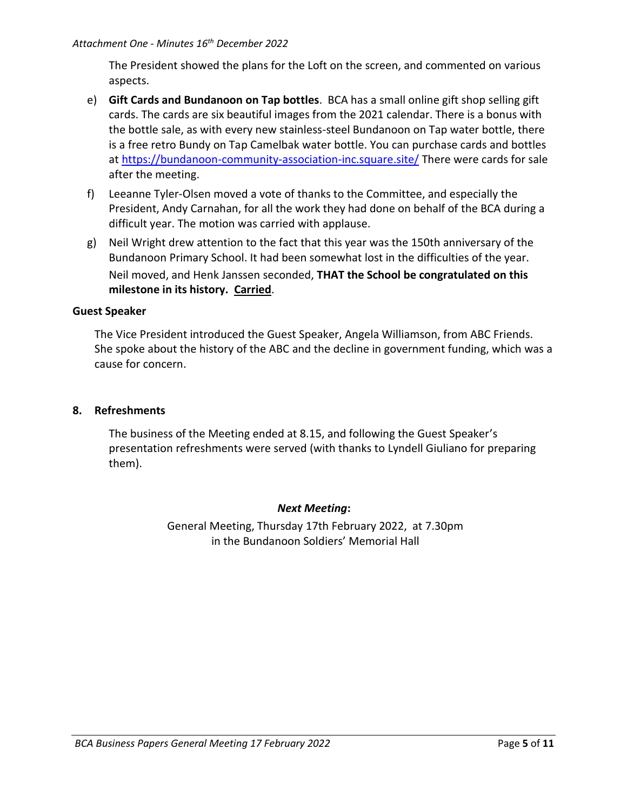The President showed the plans for the Loft on the screen, and commented on various aspects.

- e) **Gift Cards and Bundanoon on Tap bottles**. BCA has a small online gift shop selling gift cards. The cards are six beautiful images from the 2021 calendar. There is a bonus with the bottle sale, as with every new stainless-steel Bundanoon on Tap water bottle, there is a free retro Bundy on Tap Camelbak water bottle. You can purchase cards and bottles at<https://bundanoon-community-association-inc.square.site/> There were cards for sale after the meeting.
- f) Leeanne Tyler-Olsen moved a vote of thanks to the Committee, and especially the President, Andy Carnahan, for all the work they had done on behalf of the BCA during a difficult year. The motion was carried with applause.
- g) Neil Wright drew attention to the fact that this year was the 150th anniversary of the Bundanoon Primary School. It had been somewhat lost in the difficulties of the year. Neil moved, and Henk Janssen seconded, **THAT the School be congratulated on this milestone in its history. Carried**.

#### **Guest Speaker**

The Vice President introduced the Guest Speaker, Angela Williamson, from ABC Friends. She spoke about the history of the ABC and the decline in government funding, which was a cause for concern.

#### **8. Refreshments**

The business of the Meeting ended at 8.15, and following the Guest Speaker's presentation refreshments were served (with thanks to Lyndell Giuliano for preparing them).

#### *Next Meeting***:**

General Meeting, Thursday 17th February 2022, at 7.30pm in the Bundanoon Soldiers' Memorial Hall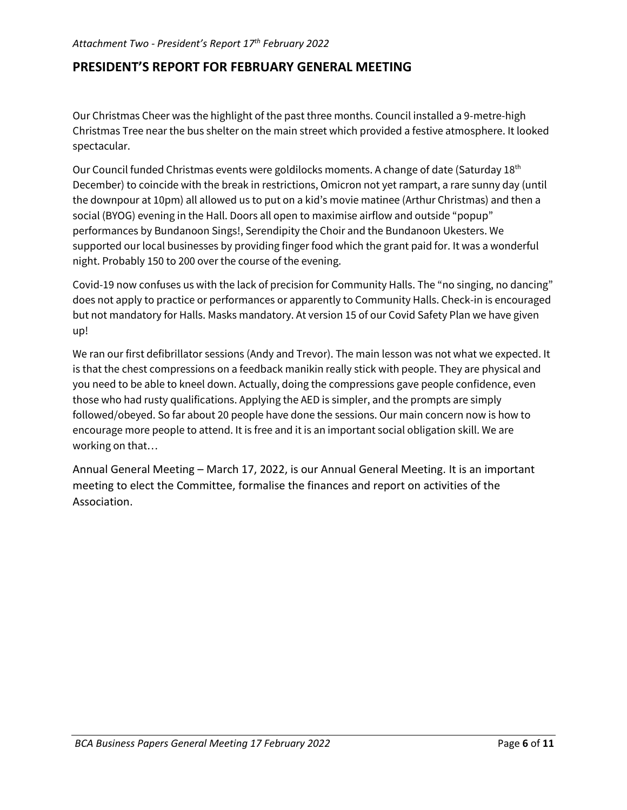# **PRESIDENT'S REPORT FOR FEBRUARY GENERAL MEETING**

Our Christmas Cheer was the highlight of the past three months. Council installed a 9-metre-high Christmas Tree near the bus shelter on the main street which provided a festive atmosphere. It looked spectacular.

Our Council funded Christmas events were goldilocks moments. A change of date (Saturday 18<sup>th</sup> December) to coincide with the break in restrictions, Omicron not yet rampart, a rare sunny day (until the downpour at 10pm) all allowed us to put on a kid's movie matinee (Arthur Christmas) and then a social (BYOG) evening in the Hall. Doors all open to maximise airflow and outside "popup" performances by Bundanoon Sings!, Serendipity the Choir and the Bundanoon Ukesters. We supported our local businesses by providing finger food which the grant paid for. It was a wonderful night. Probably 150 to 200 over the course of the evening.

Covid-19 now confuses us with the lack of precision for Community Halls. The "no singing, no dancing" does not apply to practice or performances or apparently to Community Halls. Check-in is encouraged but not mandatory for Halls. Masks mandatory. At version 15 of our Covid Safety Plan we have given up!

We ran our first defibrillator sessions (Andy and Trevor). The main lesson was not what we expected. It is that the chest compressions on a feedback manikin really stick with people. They are physical and you need to be able to kneel down. Actually, doing the compressions gave people confidence, even those who had rusty qualifications. Applying the AED is simpler, and the prompts are simply followed/obeyed. So far about 20 people have done the sessions. Our main concern now is how to encourage more people to attend. It is free and it is an important social obligation skill. We are working on that…

Annual General Meeting – March 17, 2022, is our Annual General Meeting. It is an important meeting to elect the Committee, formalise the finances and report on activities of the Association.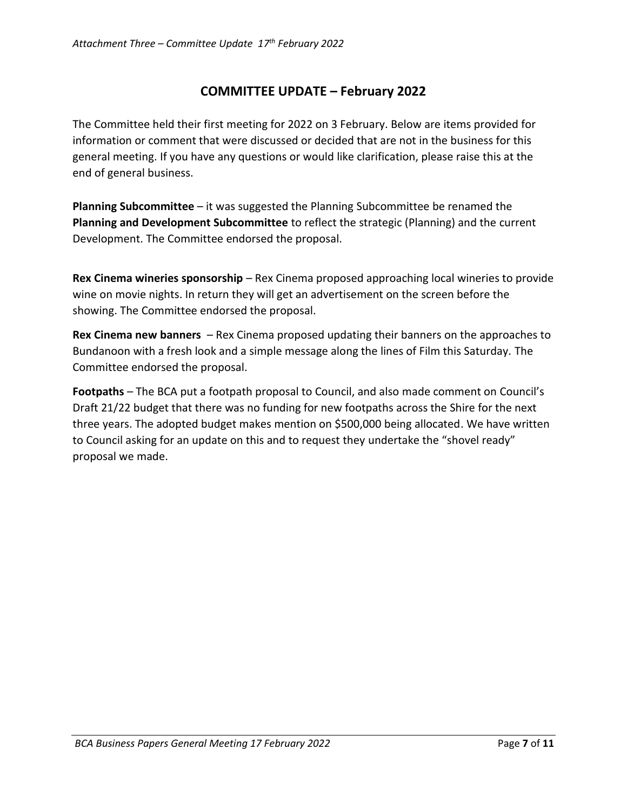# **COMMITTEE UPDATE – February 2022**

The Committee held their first meeting for 2022 on 3 February. Below are items provided for information or comment that were discussed or decided that are not in the business for this general meeting. If you have any questions or would like clarification, please raise this at the end of general business.

**Planning Subcommittee** – it was suggested the Planning Subcommittee be renamed the **Planning and Development Subcommittee** to reflect the strategic (Planning) and the current Development. The Committee endorsed the proposal.

**Rex Cinema wineries sponsorship** – Rex Cinema proposed approaching local wineries to provide wine on movie nights. In return they will get an advertisement on the screen before the showing. The Committee endorsed the proposal.

**Rex Cinema new banners** – Rex Cinema proposed updating their banners on the approaches to Bundanoon with a fresh look and a simple message along the lines of Film this Saturday. The Committee endorsed the proposal.

**Footpaths** – The BCA put a footpath proposal to Council, and also made comment on Council's Draft 21/22 budget that there was no funding for new footpaths across the Shire for the next three years. The adopted budget makes mention on \$500,000 being allocated. We have written to Council asking for an update on this and to request they undertake the "shovel ready" proposal we made.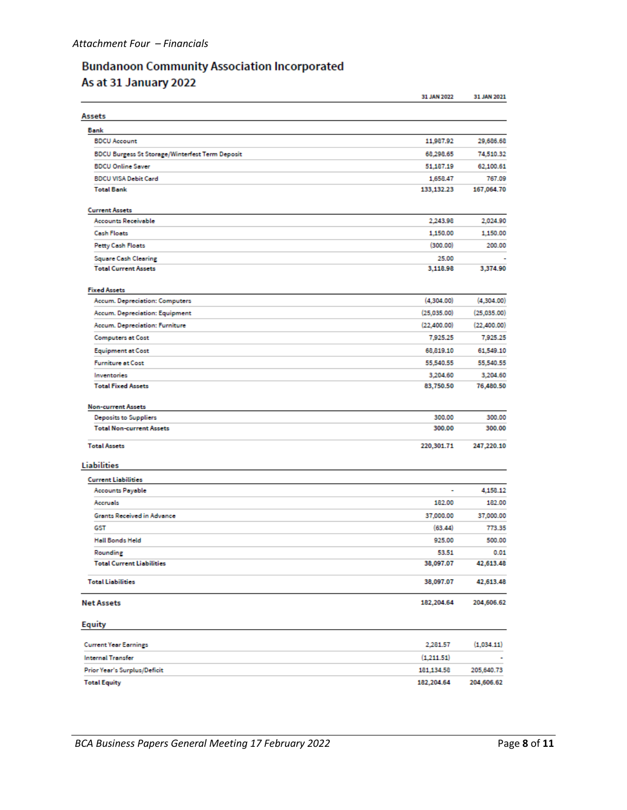# **Bundanoon Community Association Incorporated** As at 31 January 2022

|                                                 | 31 JAN 2022  | 31 JAN 2021 |
|-------------------------------------------------|--------------|-------------|
| Assets                                          |              |             |
| Bank                                            |              |             |
| <b>BDCU Account</b>                             | 11,987.92    | 29,686.68   |
| BDCU Burgess St Storage/Winterfest Term Deposit | 68,298.65    | 74,510.32   |
| <b>BDCU Online Saver</b>                        | 51,187.19    | 62,100.61   |
| <b>BDCU VISA Debit Card</b>                     | 1,658.47     | 767.09      |
| <b>Total Bank</b>                               | 133, 132. 23 | 167,064.70  |
| <b>Current Assets</b>                           |              |             |
| <b>Accounts Receivable</b>                      | 2,243.98     | 2,024.90    |
| <b>Cash Floats</b>                              | 1,150.00     | 1,150.00    |
| <b>Petty Cash Floats</b>                        | (300.00)     | 200.00      |
| <b>Square Cash Clearing</b>                     | 25.00        |             |
| <b>Total Current Assets</b>                     | 3,118.98     | 3,374.90    |
| <b>Fixed Assets</b>                             |              |             |
| Accum. Depreciation: Computers                  | (4,304.00)   | (A.304.00)  |
| Accum. Depreciation: Equipment                  | (25,035.00)  | (25,035.00) |
| Accum. Depreciation: Furniture                  | (22,400.00)  | (22,400.00) |
| <b>Computers at Cost</b>                        | 7,925.25     | 7,925.25    |
| <b>Equipment at Cost</b>                        | 68,819.10    | 61,549.10   |
| <b>Furniture at Cost</b>                        | 55,540.55    | 55,540.55   |
| Inventories                                     | 3,204.60     | 3,204.60    |
| <b>Total Fixed Assets</b>                       | 83,750.50    | 76,480.50   |
| <b>Non-current Assets</b>                       |              |             |
| <b>Deposits to Suppliers</b>                    | 300.00       | 300.00      |
| <b>Total Non-current Assets</b>                 | 300.00       | 300.00      |
| <b>Total Assets</b>                             | 220,301.71   | 247,220.10  |
| Liabilities                                     |              |             |
| <b>Current Liabilities</b>                      |              |             |
| <b>Accounts Payable</b>                         | ٠            | 4,158.12    |
| Accruals                                        | 182.00       | 182.00      |
| Grants Received in Advance                      | 37,000.00    | 37,000.00   |
| GST                                             | (63.44)      | 773.35      |
| <b>Hall Bonds Held</b>                          | 925.00       | 500.00      |
| Rounding                                        | 53.51        | 0.01        |
| <b>Total Current Liabilities</b>                | 38,097.07    | 42,613.48   |
| <b>Total Liabilities</b>                        | 38,097.07    | 42,613.48   |
| <b>Net Assets</b>                               | 182,204.64   | 204,606.62  |
| Equity                                          |              |             |
| <b>Current Year Earnings</b>                    | 2,281.57     | (1,034.11)  |
| <b>Internal Transfer</b>                        | (1,211.51)   |             |
| Prior Year's Surplus/Deficit                    | 181,134.58   | 205,640.73  |
| <b>Total Equity</b>                             | 182,204.64   | 204,606.62  |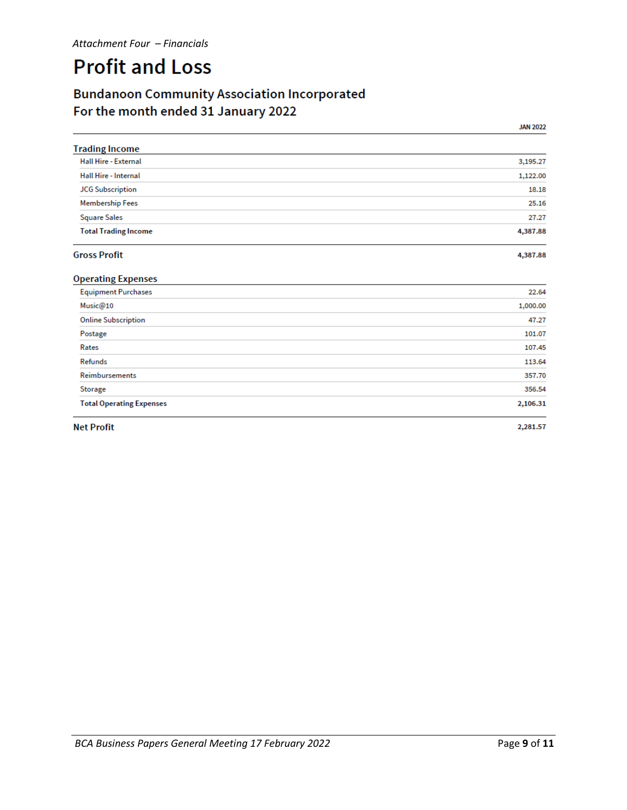# **Profit and Loss**

# **Bundanoon Community Association Incorporated** For the month ended 31 January 2022

**JAN 2022** 

| <b>Trading Income</b>       |          |
|-----------------------------|----------|
| <b>Hall Hire - External</b> | 3,195.27 |
| Hall Hire - Internal        | 1,122.00 |
| <b>JCG Subscription</b>     | 18.18    |
| <b>Membership Fees</b>      | 25.16    |
| <b>Square Sales</b>         | 27.27    |
| <b>Total Trading Income</b> | 4,387.88 |
| <b>Gross Profit</b>         | 4,387.88 |

#### **Gross Profit**

| <b>Operating Expenses</b>       |          |
|---------------------------------|----------|
| <b>Equipment Purchases</b>      | 22.64    |
| Music@10                        | 1,000.00 |
| <b>Online Subscription</b>      | 47.27    |
| Postage                         | 101.07   |
| Rates                           | 107.45   |
| Refunds                         | 113.64   |
| Reimbursements                  | 357.70   |
| Storage                         | 356.54   |
| <b>Total Operating Expenses</b> | 2,106.31 |
|                                 |          |

**Net Profit** 

2,281.57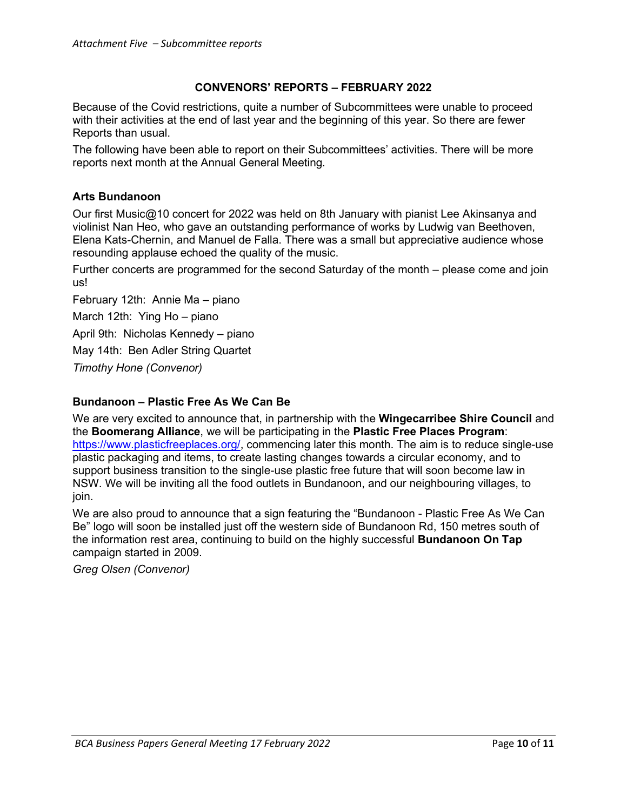#### **CONVENORS' REPORTS – FEBRUARY 2022**

Because of the Covid restrictions, quite a number of Subcommittees were unable to proceed with their activities at the end of last year and the beginning of this year. So there are fewer Reports than usual.

The following have been able to report on their Subcommittees' activities. There will be more reports next month at the Annual General Meeting.

#### **Arts Bundanoon**

Our first Music@10 concert for 2022 was held on 8th January with pianist Lee Akinsanya and violinist Nan Heo, who gave an outstanding performance of works by Ludwig van Beethoven, Elena Kats-Chernin, and Manuel de Falla. There was a small but appreciative audience whose resounding applause echoed the quality of the music.

Further concerts are programmed for the second Saturday of the month – please come and join us!

February 12th: Annie Ma – piano March 12th: Ying Ho – piano April 9th: Nicholas Kennedy – piano May 14th: Ben Adler String Quartet *Timothy Hone (Convenor)*

#### **Bundanoon – Plastic Free As We Can Be**

We are very excited to announce that, in partnership with the **Wingecarribee Shire Council** and the **Boomerang Alliance**, we will be participating in the **Plastic Free Places Program**: [https://www.plasticfreeplaces.org/,](https://www.plasticfreeplaces.org/) commencing later this month. The aim is to reduce single-use plastic packaging and items, to create lasting changes towards a circular economy, and to support business transition to the single-use plastic free future that will soon become law in NSW. We will be inviting all the food outlets in Bundanoon, and our neighbouring villages, to join.

We are also proud to announce that a sign featuring the "Bundanoon - Plastic Free As We Can Be" logo will soon be installed just off the western side of Bundanoon Rd, 150 metres south of the information rest area, continuing to build on the highly successful **Bundanoon On Tap** campaign started in 2009.

*Greg Olsen (Convenor)*